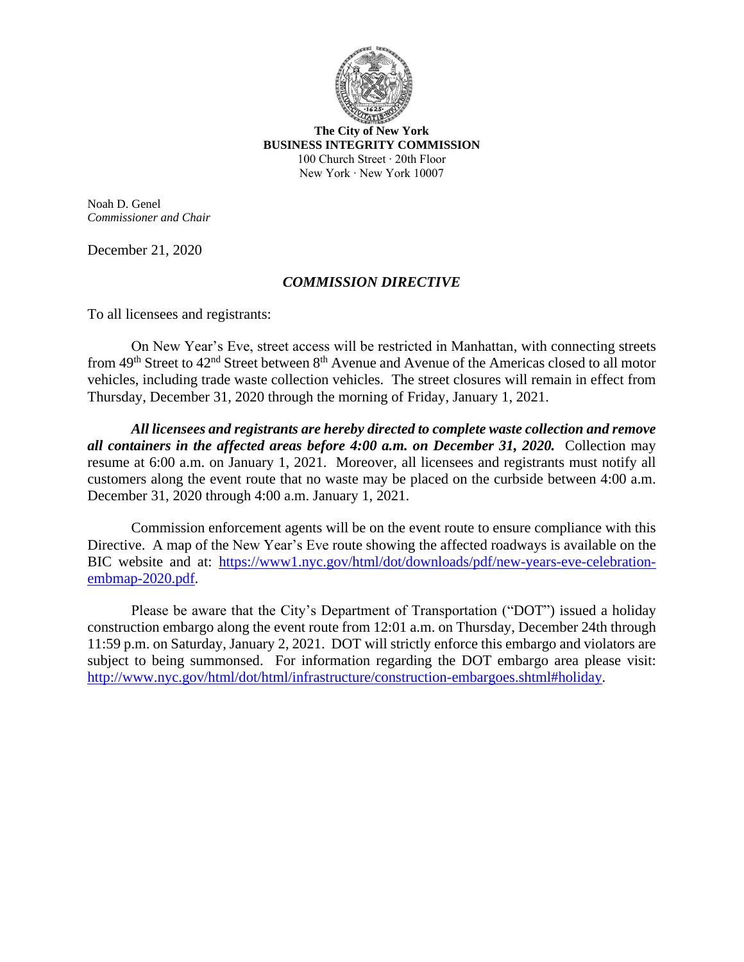

**The City of New York BUSINESS INTEGRITY COMMISSION** 100 Church Street ∙ 20th Floor New York ∙ New York 10007

Noah D. Genel *Commissioner and Chair*

December 21, 2020

## *COMMISSION DIRECTIVE*

To all licensees and registrants:

On New Year's Eve, street access will be restricted in Manhattan, with connecting streets from 49<sup>th</sup> Street to 42<sup>nd</sup> Street between 8<sup>th</sup> Avenue and Avenue of the Americas closed to all motor vehicles, including trade waste collection vehicles. The street closures will remain in effect from Thursday, December 31, 2020 through the morning of Friday, January 1, 2021.

*All licensees and registrants are hereby directed to complete waste collection and remove all containers in the affected areas before 4:00 a.m. on December 31, 2020.* Collection may resume at 6:00 a.m. on January 1, 2021. Moreover, all licensees and registrants must notify all customers along the event route that no waste may be placed on the curbside between 4:00 a.m. December 31, 2020 through 4:00 a.m. January 1, 2021.

Commission enforcement agents will be on the event route to ensure compliance with this Directive. A map of the New Year's Eve route showing the affected roadways is available on the BIC website and at: [https://www1.nyc.gov/html/dot/downloads/pdf/new-years-eve-celebration](https://www1.nyc.gov/html/dot/downloads/pdf/new-years-eve-celebration-embmap-2020.pdf)[embmap-2020.pdf.](https://www1.nyc.gov/html/dot/downloads/pdf/new-years-eve-celebration-embmap-2020.pdf)

Please be aware that the City's Department of Transportation ("DOT") issued a holiday construction embargo along the event route from 12:01 a.m. on Thursday, December 24th through 11:59 p.m. on Saturday, January 2, 2021. DOT will strictly enforce this embargo and violators are subject to being summonsed. For information regarding the DOT embargo area please visit: [http://www.nyc.gov/html/dot/html/infrastructure/construction-embargoes.shtml#holiday.](http://www.nyc.gov/html/dot/html/infrastructure/construction-embargoes.shtml#holiday)